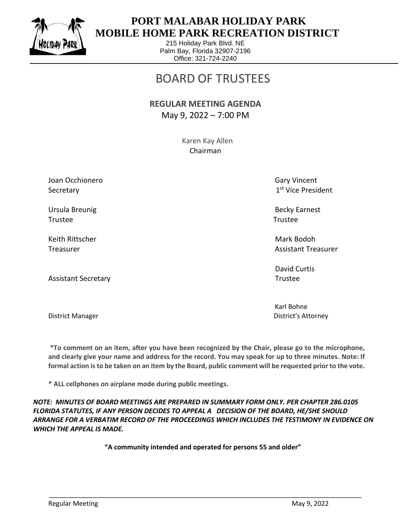

## **PORT MALABAR HOLIDAY PARK MOBILE HOME PARK RECREATION DISTRICT**

215 Holiday Park Blvd. NE Palm Bay, Florida 32907-2196 Office: 321-724-2240

# BOARD OF TRUSTEES

#### **REGULAR MEETING AGENDA** May 9, 2022 – 7:00 PM

 Karen Kay Allen Chairman

Joan Occhionero Gary Vincent Communication of the Gary Vincent Communication of Gary Vincent **Secretary** 

Ursula Breunig Becky Earnest Trustee Trustee

Keith Rittscher Mark Bodoh (Mark Bodoh Mark Bodoh Mark Bodoh Mark Bodoh Mark Bodoh Mark Bodoh Mark Bodoh Mark

Assistant Secretary **Trustee** 

1st Vice President

Treasurer Assistant Treasurer Assistant Treasurer Assistant Treasurer Assistant Treasurer

David Curtis

Karl Bohne District Manager District's Attorney

**\*To comment on an item, after you have been recognized by the Chair, please go to the microphone, and clearly give your name and address for the record. You may speak for up to three minutes. Note: If formal action is to be taken on an item by the Board, public comment will be requested prior to the vote.**

**\* ALL cellphones on airplane mode during public meetings.**

*NOTE: MINUTES OF BOARD MEETINGS ARE PREPARED IN SUMMARY FORM ONLY. PER CHAPTER 286.0105 FLORIDA STATUTES, IF ANY PERSON DECIDES TO APPEAL A DECISION OF THE BOARD, HE/SHE SHOULD ARRANGE FOR A VERBATIM RECORD OF THE PROCEEDINGS WHICH INCLUDES THE TESTIMONY IN EVIDENCE ON WHICH THE APPEAL IS MADE.*

**"A community intended and operated for persons 55 and older"**

\_\_\_\_\_\_\_\_\_\_\_\_\_\_\_\_\_\_\_\_\_\_\_\_\_\_\_\_\_\_\_\_\_\_\_\_\_\_\_\_\_\_\_\_\_\_\_\_\_\_\_\_\_\_\_\_\_\_\_\_\_\_\_\_\_\_\_\_\_\_\_\_\_\_\_\_\_\_\_\_\_\_\_\_\_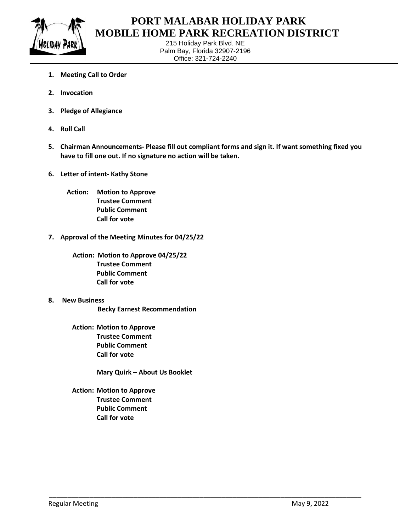

### **PORT MALABAR HOLIDAY PARK MOBILE HOME PARK RECREATION DISTRICT**

215 Holiday Park Blvd. NE Palm Bay, Florida 32907-2196 Office: 321-724-2240

- **1. Meeting Call to Order**
- **2. Invocation**
- **3. Pledge of Allegiance**
- **4. Roll Call**
- **5. Chairman Announcements- Please fill out compliant forms and sign it. If want something fixed you have to fill one out. If no signature no action will be taken.**

\_\_\_\_\_\_\_\_\_\_\_\_\_\_\_\_\_\_\_\_\_\_\_\_\_\_\_\_\_\_\_\_\_\_\_\_\_\_\_\_\_\_\_\_\_\_\_\_\_\_\_\_\_\_\_\_\_\_\_\_\_\_\_\_\_\_\_\_\_\_\_\_\_\_\_\_\_\_\_\_\_\_\_\_\_

- **6. Letter of intent- Kathy Stone**
	- **Action: Motion to Approve Trustee Comment Public Comment Call for vote**
- **7. Approval of the Meeting Minutes for 04/25/22**
	- **Action: Motion to Approve 04/25/22 Trustee Comment Public Comment Call for vote**
- **8. New Business**
	- **Becky Earnest Recommendation**
	- **Action: Motion to Approve Trustee Comment Public Comment Call for vote**
		- **Mary Quirk – About Us Booklet**
	- **Action: Motion to Approve Trustee Comment Public Comment Call for vote**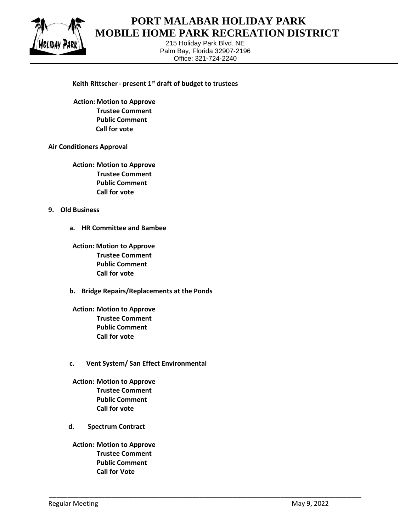

### **PORT MALABAR HOLIDAY PARK MOBILE HOME PARK RECREATION DISTRICT**

215 Holiday Park Blvd. NE Palm Bay, Florida 32907-2196 Office: 321-724-2240

\_\_\_\_\_\_\_\_\_\_\_\_\_\_\_\_\_\_\_\_\_\_\_\_\_\_\_\_\_\_\_\_\_\_\_\_\_\_\_\_\_\_\_\_\_\_\_\_\_\_\_\_\_\_\_\_\_\_\_\_\_\_\_\_\_\_\_\_\_\_\_\_\_\_\_\_\_\_\_\_\_\_\_\_\_

#### **Keith Rittscher- present 1st draft of budget to trustees**

 **Action: Motion to Approve Trustee Comment Public Comment Call for vote**

#### **Air Conditioners Approval**

**Action: Motion to Approve Trustee Comment Public Comment Call for vote**

#### **9. Old Business**

**a. HR Committee and Bambee**

**Action: Motion to Approve Trustee Comment Public Comment Call for vote**

- **b. Bridge Repairs/Replacements at the Ponds**
- **Action: Motion to Approve Trustee Comment Public Comment Call for vote**
- **c. Vent System/ San Effect Environmental**
- **Action: Motion to Approve Trustee Comment Public Comment Call for vote**
- **d. Spectrum Contract**
- **Action: Motion to Approve Trustee Comment Public Comment Call for Vote**